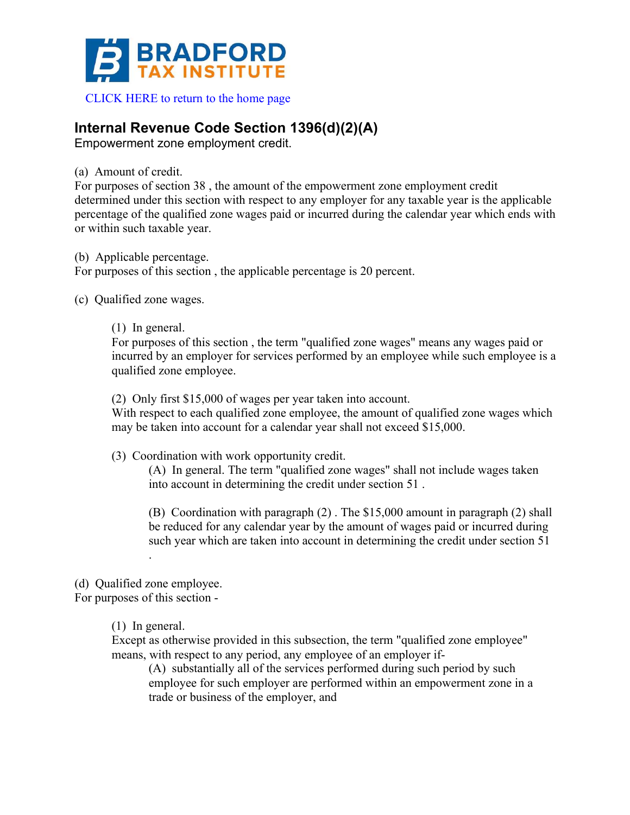

 [CLICK HERE to return to the home page](www.bradfordtaxinstitute.com) 

## **Internal Revenue Code Section 1396(d)(2)(A)**

Empowerment zone employment credit.

(a) Amount of credit.

For purposes of section 38 , the amount of the empowerment zone employment credit determined under this section with respect to any employer for any taxable year is the applicable percentage of the qualified zone wages paid or incurred during the calendar year which ends with or within such taxable year.

(b) Applicable percentage.

For purposes of this section , the applicable percentage is 20 percent.

(c) Qualified zone wages.

(1) In general.

For purposes of this section , the term "qualified zone wages" means any wages paid or incurred by an employer for services performed by an employee while such employee is a qualified zone employee.

(2) Only first \$15,000 of wages per year taken into account.

With respect to each qualified zone employee, the amount of qualified zone wages which may be taken into account for a calendar year shall not exceed \$15,000.

(3) Coordination with work opportunity credit.

(A) In general. The term "qualified zone wages" shall not include wages taken into account in determining the credit under section 51 .

(B) Coordination with paragraph (2) . The \$15,000 amount in paragraph (2) shall be reduced for any calendar year by the amount of wages paid or incurred during such year which are taken into account in determining the credit under section 51 .

(d) Qualified zone employee.

For purposes of this section -

(1) In general.

Except as otherwise provided in this subsection, the term "qualified zone employee" means, with respect to any period, any employee of an employer if-

(A) substantially all of the services performed during such period by such employee for such employer are performed within an empowerment zone in a trade or business of the employer, and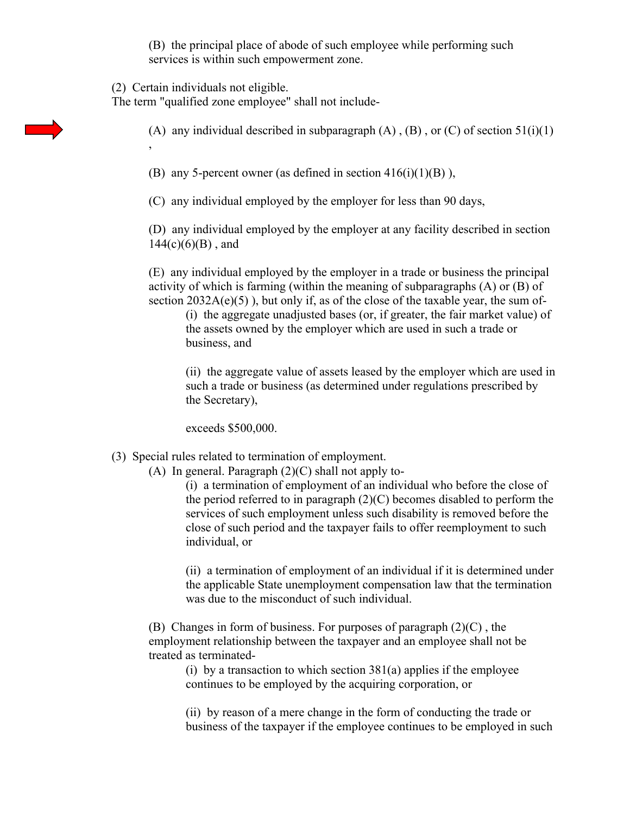(B) the principal place of abode of such employee while performing such services is within such empowerment zone.

(2) Certain individuals not eligible.

The term "qualified zone employee" shall not include-

(A) any individual described in subparagraph  $(A)$ ,  $(B)$ , or  $(C)$  of section 51(i)(1) ,

(B) any 5-percent owner (as defined in section  $416(i)(1)(B)$ ),

(C) any individual employed by the employer for less than 90 days,

(D) any individual employed by the employer at any facility described in section  $144(c)(6)(B)$ , and

(E) any individual employed by the employer in a trade or business the principal activity of which is farming (within the meaning of subparagraphs (A) or (B) of section  $2032A(e)(5)$ , but only if, as of the close of the taxable year, the sum of-

(i) the aggregate unadjusted bases (or, if greater, the fair market value) of the assets owned by the employer which are used in such a trade or business, and

(ii) the aggregate value of assets leased by the employer which are used in such a trade or business (as determined under regulations prescribed by the Secretary),

exceeds \$500,000.

## (3) Special rules related to termination of employment.

(A) In general. Paragraph  $(2)(C)$  shall not apply to-

(i) a termination of employment of an individual who before the close of the period referred to in paragraph (2)(C) becomes disabled to perform the services of such employment unless such disability is removed before the close of such period and the taxpayer fails to offer reemployment to such individual, or

(ii) a termination of employment of an individual if it is determined under the applicable State unemployment compensation law that the termination was due to the misconduct of such individual.

(B) Changes in form of business. For purposes of paragraph  $(2)(C)$ , the employment relationship between the taxpayer and an employee shall not be treated as terminated-

(i) by a transaction to which section  $381(a)$  applies if the employee continues to be employed by the acquiring corporation, or

(ii) by reason of a mere change in the form of conducting the trade or business of the taxpayer if the employee continues to be employed in such